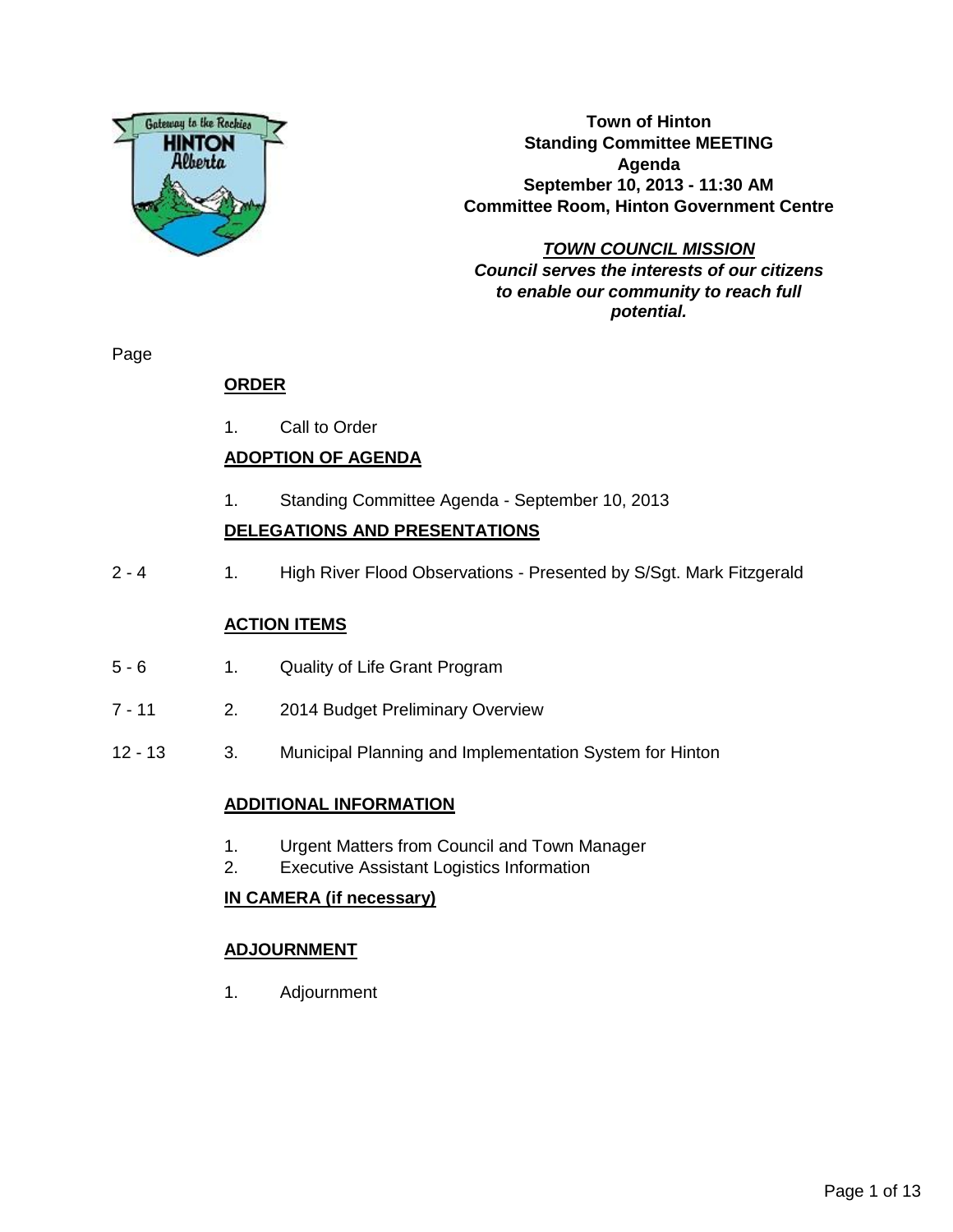

**Town of Hinton Standing Committee MEETING Agenda September 10, 2013 - 11:30 AM Committee Room, Hinton Government Centre**

**TOWN COUNCIL MISSION Council serves the interests of our citizens to enable our community to reach full potential.**

Page

## **ORDER**

1. Call to Order

## **ADOPTION OF AGENDA**

1. Standing Committee Agenda - September 10, 2013

## **DELEGATIONS AND PRESENTATIONS**

2 - 4 1. High River Flood Observations - Presented by S/Sgt. Mark Fitzgerald

#### **ACTION ITEMS**

- 5 6 1. Quality of Life Grant Program
- 7 11 2. 2014 Budget Preliminary Overview
- 12 13 3. Municipal Planning and Implementation System for Hinton

### **ADDITIONAL INFORMATION**

- 1. Urgent Matters from Council and Town Manager
- 2. Executive Assistant Logistics Information

#### **IN CAMERA (if necessary)**

### **ADJOURNMENT**

1. Adjournment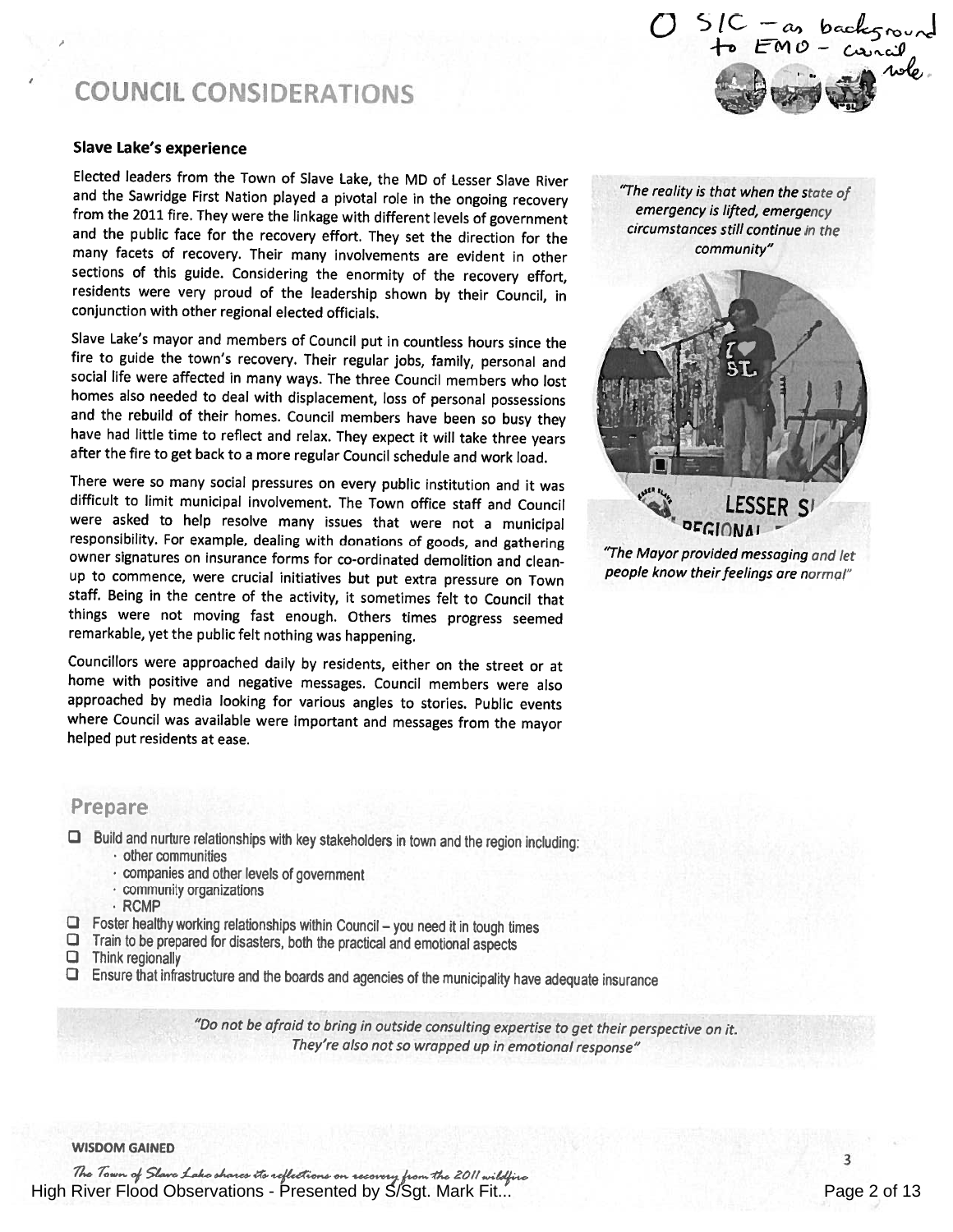## COUNCIL CONSIDERATIONS

#### Slave Lake's experience

Elected leaders from the Town of Slave Lake, the MD of Lesser Slave River and the Sawridge First Nation <sup>p</sup>layed <sup>a</sup> <sup>p</sup>ivotal role in the ongoing recovery from the <sup>2011</sup> fire. They were the linkage with different levels of government and the public face for the recovery effort. They set the direction for the many facets of recovery. Their many involvements are evident in other sections of this guide. Considering the enormity of the recovery effort, residents were very proud of the leadership shown by their Council, in conjunction with other regional elected officials.

Slave Lake's mayor and members of Council put in countless hours since the fire to guide the town's recovery. Their regular jobs, family, personal and social life were affected in many ways. The three Council members who lost homes also needed to deal with displacement, loss of personal possessions and the rebuild of their homes. Council members have been so busy they have had little time to reflect and relax. They expect it will take three years after the fire to get back to <sup>a</sup> more regular Council schedule and work load.

There were so many social pressures on every public institution and it was difficult to limit municipal involvement. The Town office staff and Council were asked to help resolve many issues that were not <sup>a</sup> municipal responsibility. For example, dealing with donations of goods, and gathering owner signatures on insurance forms for co-ordinated demolition and clean up to commence, were crucial initiatives but put extra pressure on Town staff. Being in the centre of the activity, it sometimes felt to Council that things were not moving fast enough. Others times progress seemed remarkable, yet the public felt nothing was happening.

Councillors were approached daily by residents, either on the street or at home with positive and negative messages. Council members were also approached by media looking for various angles to stories. Public events where Council was available were important and messages from the mayor helped put residents at ease.

emergency is lifted, emergency circumstances still continue in the community"

"The reality is that when the state of

 $O$  SIC - as backs to EMO-

> LESSER S': OFGIONAI

"The Mayor provided messaging and let people know their feelings are normal"

### Prepare

- $\Box$  Build and nurture relationships with key stakeholders in town and the region including:<br>  $\cdot$  other communities
	-
	- companies and other levels of government
	- community organizations
	- RCMP
- Foster healthy working relationships within Council you need it in tough times  $\Box$  Train to be prepared for disasters, both the practical and emotional aspects  $\Box$  Think regionally
- 
- 
- Li Ensure that infrastructure and the boards and agencies of the municipality have adequate insurance

"Do not be afraid to bring in outside consulting expertise to get their perspective on it. They're also not so wrapped up in emotional response"

WISDOM GAINED

The Town of Slave Lake shares its reflections on recovery from the 2011 High River Flood Observations - Presented by S/Sgt. Mark Fit... Page 2 of 13

3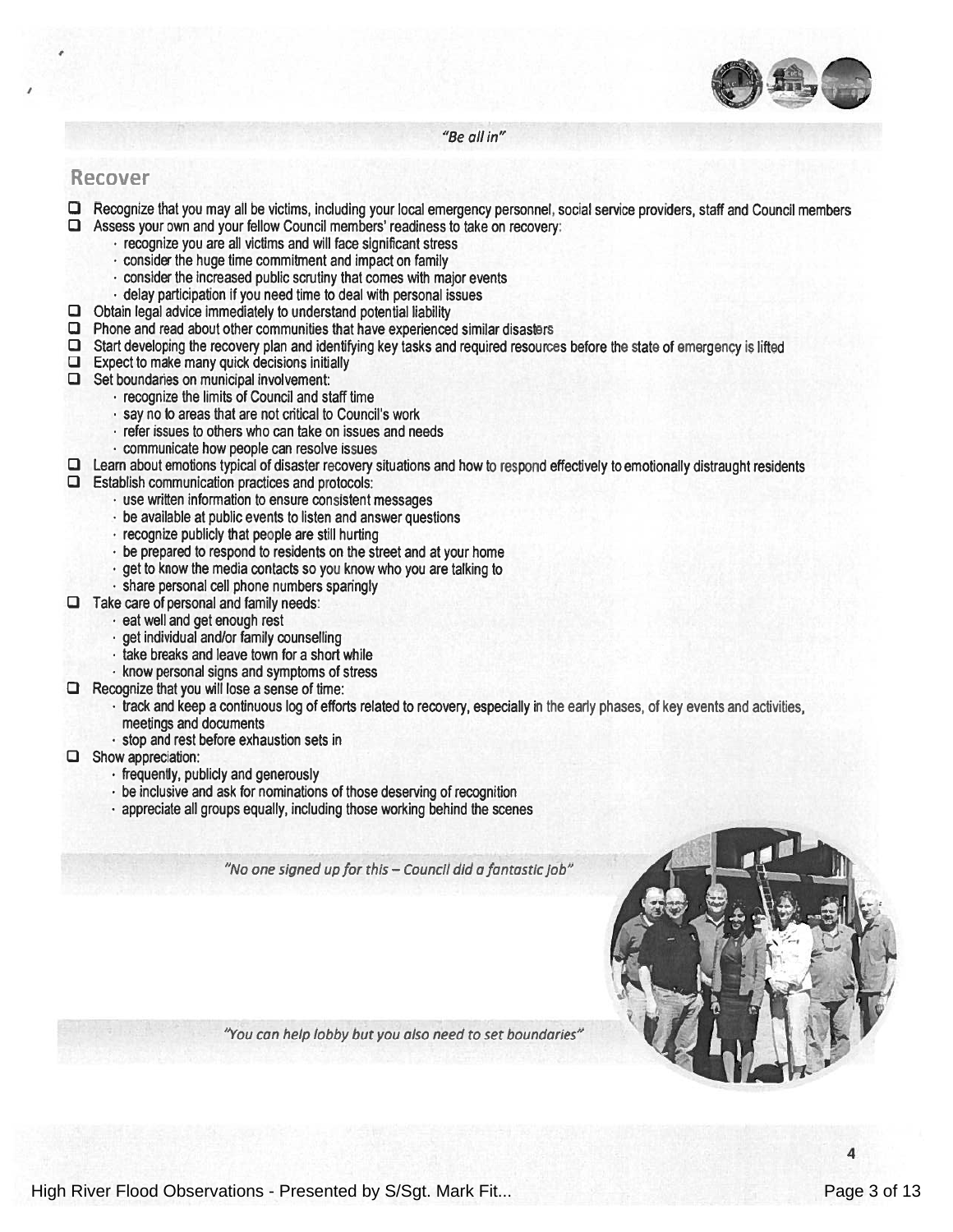

"Be all in"

#### Recover

- Li Recognize that you may all be victims, including your local emergency personnel, social service providers, staff and Council members  $\Box$  Assess your own and your fellow Council members' readiness to take on recovery: • recognize you are all victims and will face significant stress
	- $\cdot$  consider the huge time commitment and impact on family
	- consider the increased public scrutiny that comes with major events
	- •delay participation if you need time to deal with personal issues
- $\Box$  Obtain legal advice immediately to understand potential liability
- $\square$  Phone and read about other communities that have experienced similar disasters
- $\square$  Start developing the recovery plan and identifying key tasks and required resources before the state of emergency is lifted
- $\Box$  Expect to make many quick decisions initially
- $\Box$  Set boundaries on municipal involvement:
	- recognize the limits of Council and staff time
	- $\cdot$  say no to areas that are not critical to Council's work
	- refer issues to others who can take on issues and needs
	- communicate how people can resolve issues
- $\Box$  Learn about emotions typical of disaster recovery situations and how to respond effectively to emotionally distraught residents
- $\square$  Establish communication practices and protocols:
	- use written information to ensure consistent messages
	- be available at public events to listen and answer questions
	- recognize publicly that people are still hurting
	- $\cdot$  be prepared to respond to residents on the street and at your home
	- $\cdot$  get to know the media contacts so you know who you are talking to
	- share personal cell phone numbers sparingly
- $\Box$  Take care of personal and family needs:
	- eat well and ge<sup>t</sup> enough rest
	- ge<sup>t</sup> individual and/or family counselling
	- take breaks and leave town for a short while
	- know personal signs and symptoms of stress
- $\Box$  Recognize that you will lose a sense of time:
	- $\cdot$  track and keep a continuous log of efforts related to recovery, especially in the early phases, of key events and activities meetings and documents
	- stop and rest before exhaustion sets in
- Li Show appreciation:
	- frequently, publicly and generously
	- be inclusive and ask for nominations of those deserving of recognition
	- appreciate all groups equally, including those working behind the scenes

"No one signed up for this — Council did <sup>a</sup> fantastic job"

"You can help lobby but you also need to set boundaries"

4

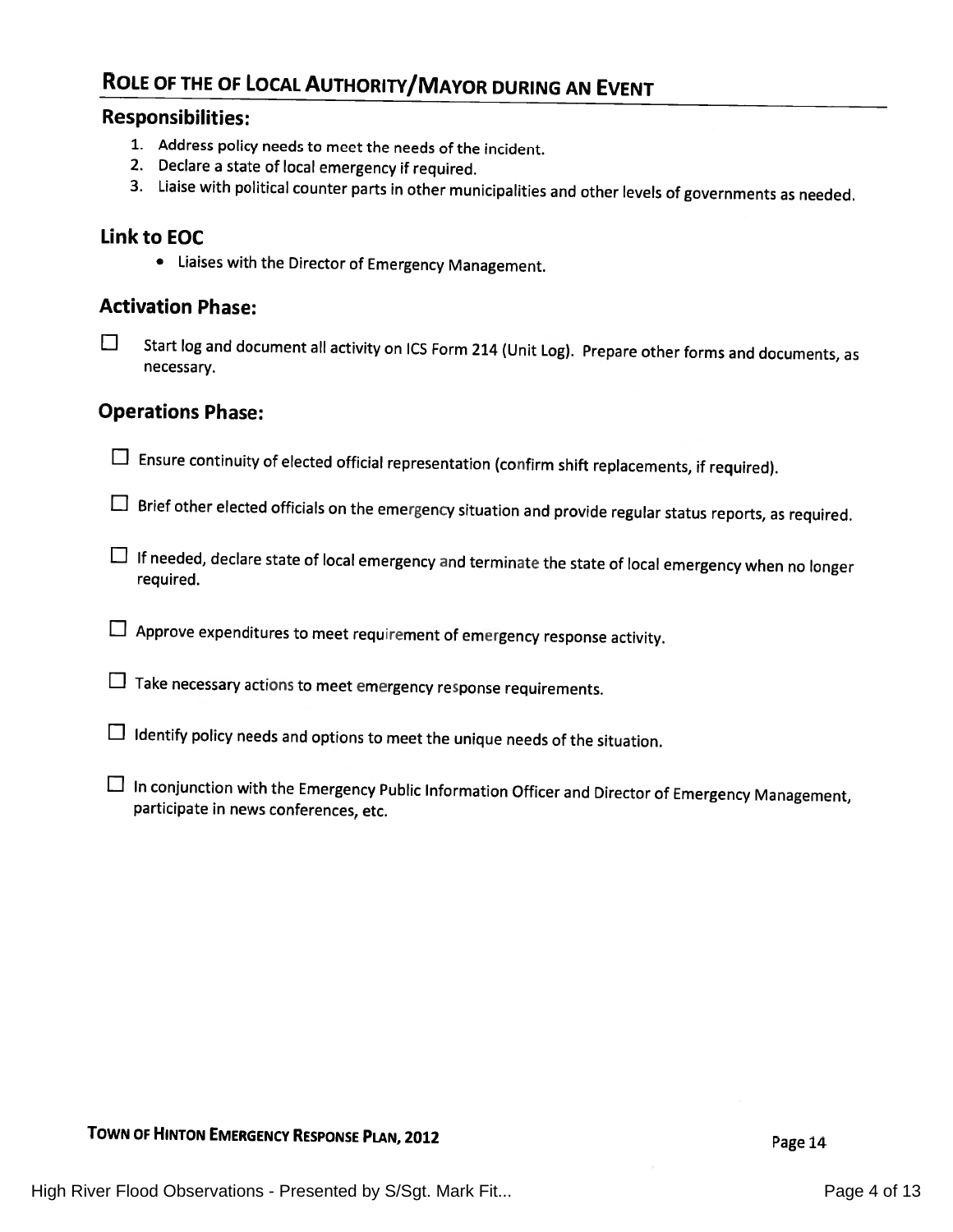## ROLE OF THE OF LOCAL AUTHORITY/MAYOR DURING AN EVENT

#### Responsibilities:

- 1. Address policy needs to meet the needs of the incident.
- 2. Declare <sup>a</sup> state of local emergency if required.
- 3. Liaise with political counter parts in other municipalities and other levels of governments as needed.

## Link to EOC

. Liaises with the Director of Emergency Management.

#### Activation Phase:

El Start log and document all activity on ICS Form <sup>214</sup> (Unit Log). Prepare other forms and documents, as necessary.

### Operations Phase:

 $\square$  Ensure continuity of elected official representation (confirm shift replacements, if required).

 $\square$  Brief other elected officials on the emergency situation and provide regular status reports, as required.

- LI If needed, declare state of local emergency and terminate the state of local emergency when no longer required.
- $\Box$  Approve expenditures to meet requirement of emergency response activity.
- $\square$  Take necessary actions to meet emergency response requirements.
- $\Box$  Identify policy needs and options to meet the unique needs of the situation.
- El In conjunction with the Emergency Public Information Officer and Director of Emergency Management, participate in news conferences, etc.

## TOWN OF HINTON EMERGENCY RESPONSE PLAN, 2012 **Page 14**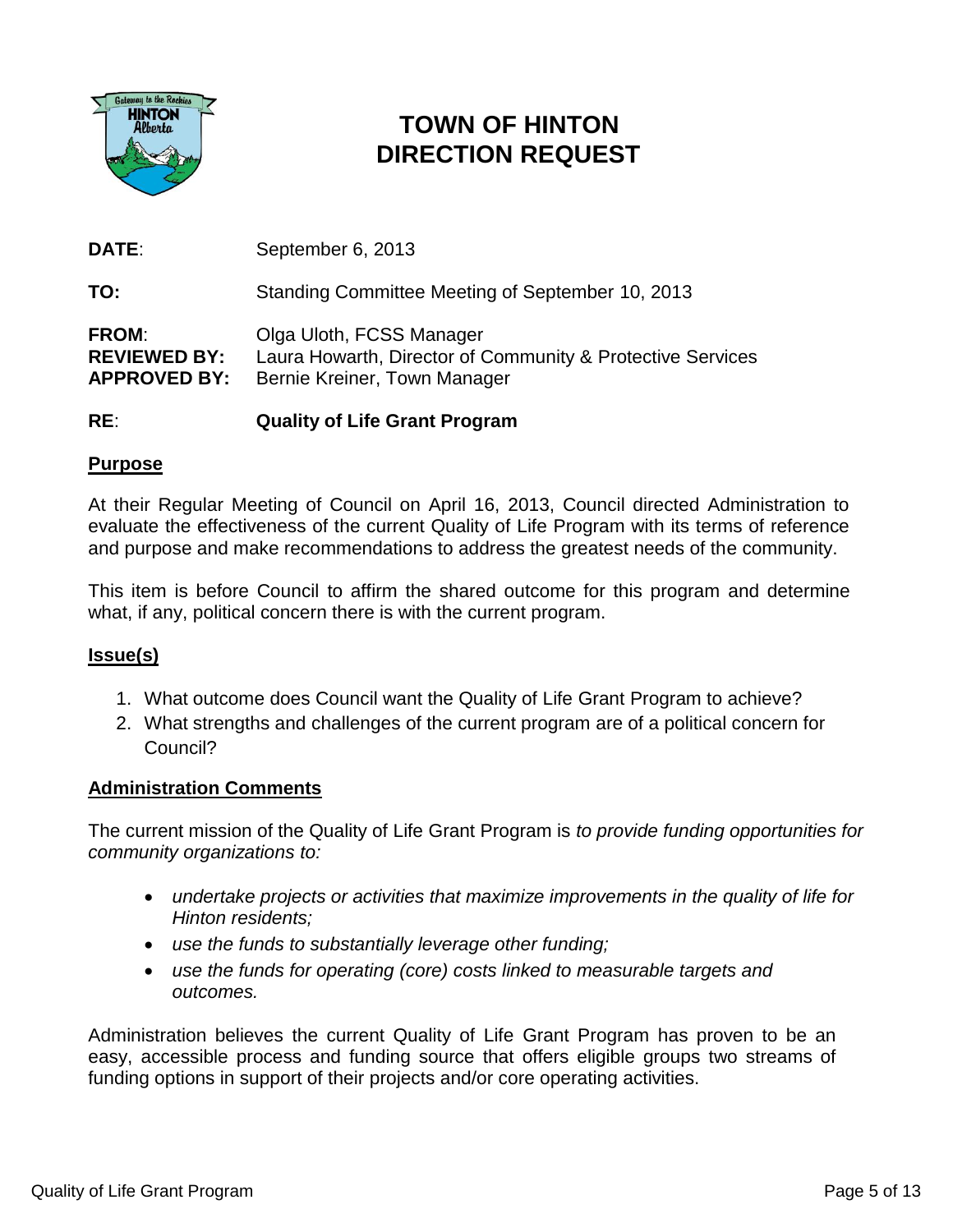

# **TOWN OF HINTON DIRECTION REQUEST**

**DATE**: September 6, 2013

**TO:** Standing Committee Meeting of September 10, 2013

**FROM**: Olga Uloth, FCSS Manager **REVIEWED BY:** Laura Howarth, Director of Community & Protective Services **APPROVED BY:** Bernie Kreiner, Town Manager

## **RE**: **Quality of Life Grant Program**

## **Purpose**

At their Regular Meeting of Council on April 16, 2013, Council directed Administration to evaluate the effectiveness of the current Quality of Life Program with its terms of reference and purpose and make recommendations to address the greatest needs of the community.

This item is before Council to affirm the shared outcome for this program and determine what, if any, political concern there is with the current program.

## **Issue(s)**

- 1. What outcome does Council want the Quality of Life Grant Program to achieve?
- 2. What strengths and challenges of the current program are of a political concern for Council?

### **Administration Comments**

The current mission of the Quality of Life Grant Program is *to provide funding opportunities for community organizations to:*

- *undertake projects or activities that maximize improvements in the quality of life for Hinton residents;*
- *use the funds to substantially leverage other funding;*
- *use the funds for operating (core) costs linked to measurable targets and outcomes.*

Administration believes the current Quality of Life Grant Program has proven to be an easy, accessible process and funding source that offers eligible groups two streams of funding options in support of their projects and/or core operating activities.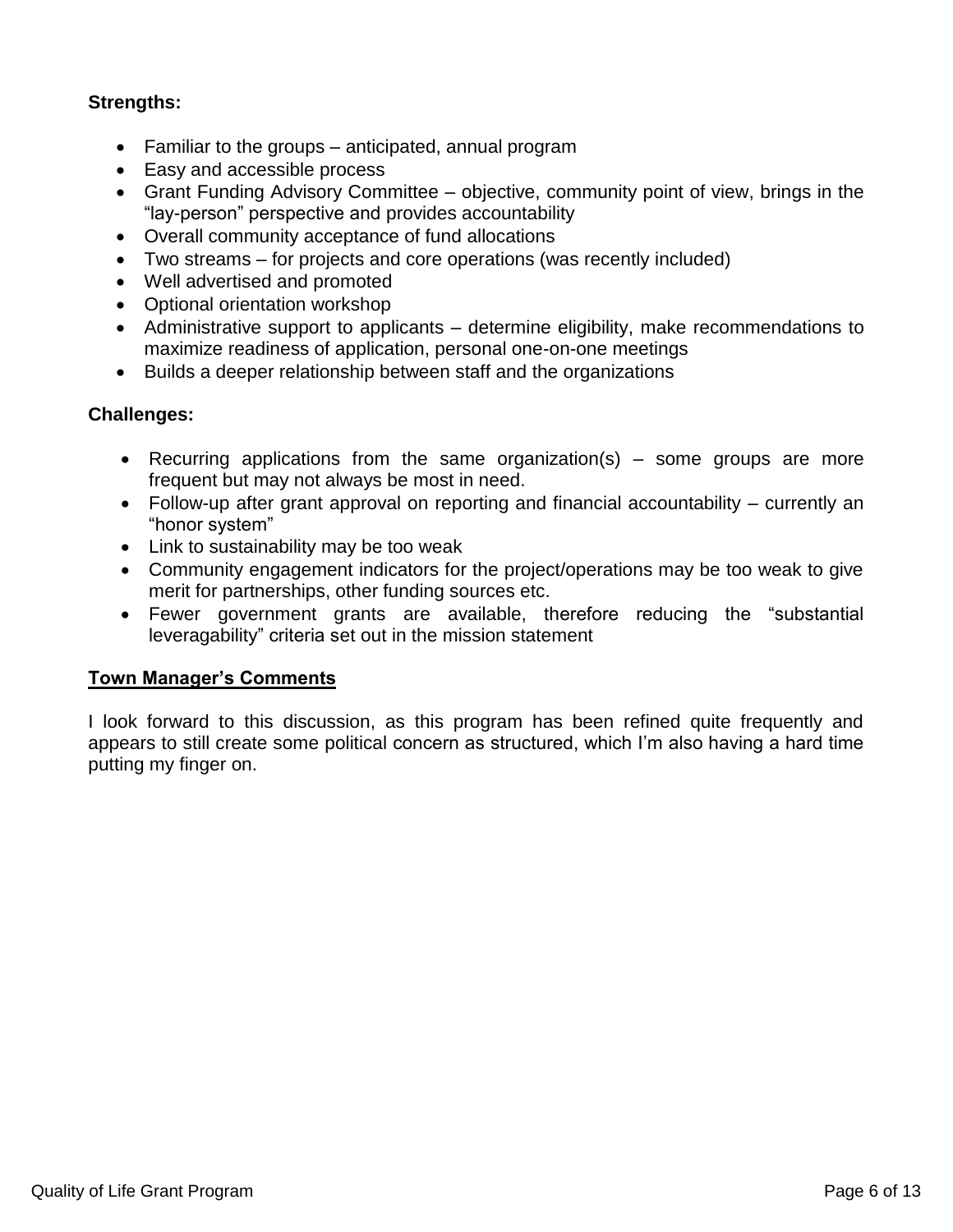## **Strengths:**

- Familiar to the groups anticipated, annual program
- Easy and accessible process
- Grant Funding Advisory Committee objective, community point of view, brings in the "lay-person" perspective and provides accountability
- Overall community acceptance of fund allocations
- Two streams for projects and core operations (was recently included)
- Well advertised and promoted
- Optional orientation workshop
- Administrative support to applicants determine eligibility, make recommendations to maximize readiness of application, personal one-on-one meetings
- Builds a deeper relationship between staff and the organizations

### **Challenges:**

- Recurring applications from the same organization(s) some groups are more frequent but may not always be most in need.
- Follow-up after grant approval on reporting and financial accountability currently an "honor system"
- Link to sustainability may be too weak
- Community engagement indicators for the project/operations may be too weak to give merit for partnerships, other funding sources etc.
- Fewer government grants are available, therefore reducing the "substantial leveragability" criteria set out in the mission statement

### **Town Manager's Comments**

I look forward to this discussion, as this program has been refined quite frequently and appears to still create some political concern as structured, which I'm also having a hard time putting my finger on.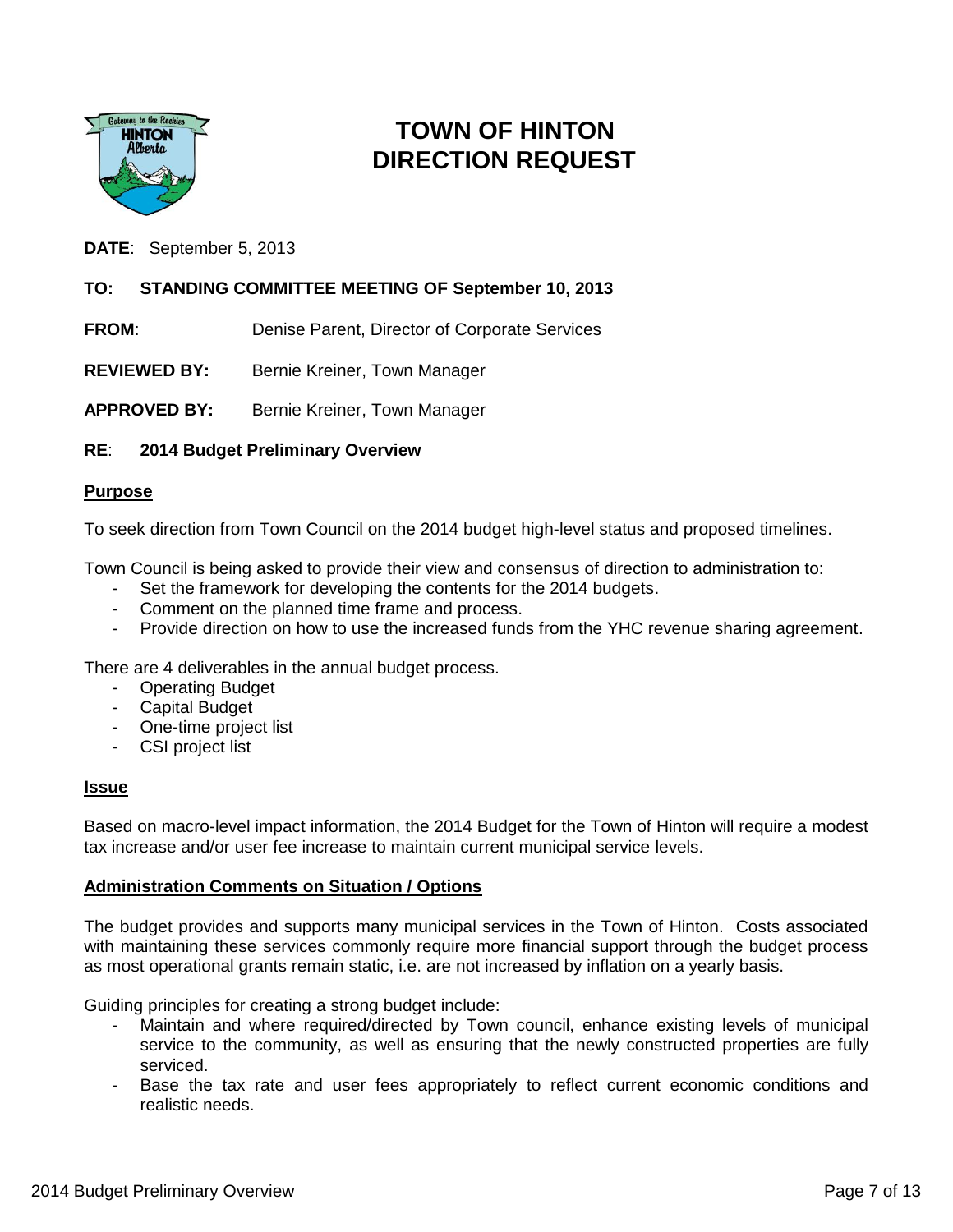

## **TOWN OF HINTON DIRECTION REQUEST**

**DATE**: September 5, 2013

#### **TO: STANDING COMMITTEE MEETING OF September 10, 2013**

**FROM:** Denise Parent, Director of Corporate Services

**REVIEWED BY:** Bernie Kreiner, Town Manager

**APPROVED BY:** Bernie Kreiner, Town Manager

#### **RE**: **2014 Budget Preliminary Overview**

#### **Purpose**

To seek direction from Town Council on the 2014 budget high-level status and proposed timelines.

Town Council is being asked to provide their view and consensus of direction to administration to:

- Set the framework for developing the contents for the 2014 budgets.
- Comment on the planned time frame and process.
- Provide direction on how to use the increased funds from the YHC revenue sharing agreement.

There are 4 deliverables in the annual budget process.

- Operating Budget
- Capital Budget
- One-time project list
- CSI project list

#### **Issue**

Based on macro-level impact information, the 2014 Budget for the Town of Hinton will require a modest tax increase and/or user fee increase to maintain current municipal service levels.

#### **Administration Comments on Situation / Options**

The budget provides and supports many municipal services in the Town of Hinton. Costs associated with maintaining these services commonly require more financial support through the budget process as most operational grants remain static, i.e. are not increased by inflation on a yearly basis.

Guiding principles for creating a strong budget include:

- Maintain and where required/directed by Town council, enhance existing levels of municipal service to the community, as well as ensuring that the newly constructed properties are fully serviced.
- Base the tax rate and user fees appropriately to reflect current economic conditions and realistic needs.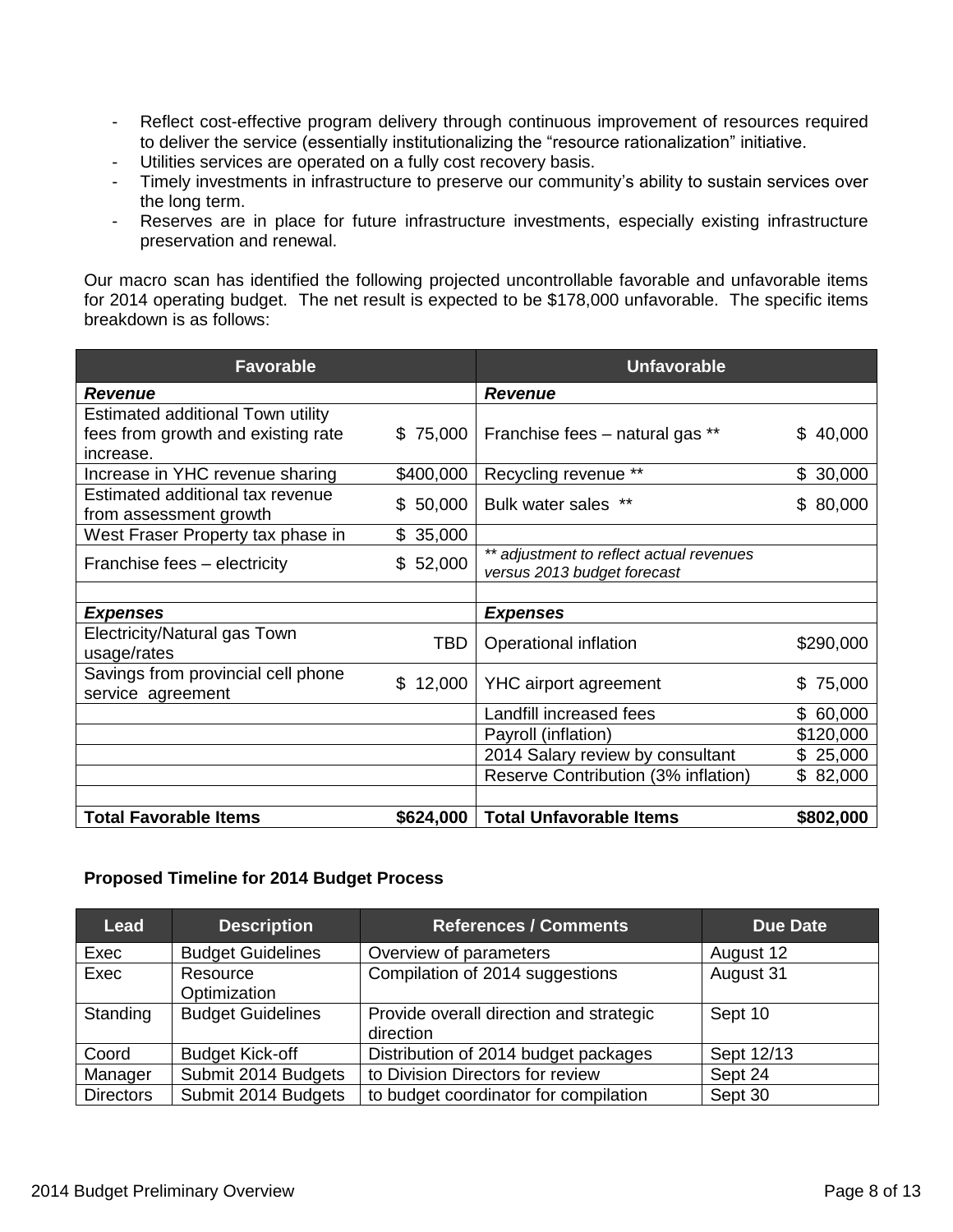- Reflect cost-effective program delivery through continuous improvement of resources required to deliver the service (essentially institutionalizing the "resource rationalization" initiative.
- Utilities services are operated on a fully cost recovery basis.
- Timely investments in infrastructure to preserve our community's ability to sustain services over the long term.
- Reserves are in place for future infrastructure investments, especially existing infrastructure preservation and renewal.

Our macro scan has identified the following projected uncontrollable favorable and unfavorable items for 2014 operating budget. The net result is expected to be \$178,000 unfavorable. The specific items breakdown is as follows:

| <b>Favorable</b>                   |              | <b>Unfavorable</b>                       |              |
|------------------------------------|--------------|------------------------------------------|--------------|
| <b>Revenue</b>                     |              | <b>Revenue</b>                           |              |
| Estimated additional Town utility  |              |                                          |              |
| fees from growth and existing rate | \$75,000     | Franchise fees - natural gas **          | \$40,000     |
| increase.                          |              |                                          |              |
| Increase in YHC revenue sharing    | \$400,000    | Recycling revenue **                     | 30,000<br>\$ |
| Estimated additional tax revenue   | 50,000<br>S  | Bulk water sales **                      | \$80,000     |
| from assessment growth             |              |                                          |              |
| West Fraser Property tax phase in  | 35,000<br>\$ |                                          |              |
| Franchise fees - electricity       | \$52,000     | ** adjustment to reflect actual revenues |              |
|                                    |              | versus 2013 budget forecast              |              |
|                                    |              |                                          |              |
| <b>Expenses</b>                    |              | <b>Expenses</b>                          |              |
| Electricity/Natural gas Town       | <b>TBD</b>   | Operational inflation                    | \$290,000    |
| usage/rates                        |              |                                          |              |
| Savings from provincial cell phone | \$<br>12,000 | <b>YHC</b> airport agreement             | 75,000<br>\$ |
| service agreement                  |              |                                          |              |
|                                    |              | Landfill increased fees                  | \$60,000     |
|                                    |              | Payroll (inflation)                      | \$120,000    |
|                                    |              | 2014 Salary review by consultant         | \$25,000     |
|                                    |              | Reserve Contribution (3% inflation)      | \$82,000     |
|                                    |              |                                          |              |
| <b>Total Favorable Items</b>       | \$624,000    | <b>Total Unfavorable Items</b>           | \$802,000    |

#### **Proposed Timeline for 2014 Budget Process**

| <b>Lead</b>      | <b>Description</b>       | <b>References / Comments</b>                         | <b>Due Date</b> |
|------------------|--------------------------|------------------------------------------------------|-----------------|
| Exec             | <b>Budget Guidelines</b> | Overview of parameters                               | August 12       |
| Exec             | Resource<br>Optimization | Compilation of 2014 suggestions                      | August 31       |
| Standing         | <b>Budget Guidelines</b> | Provide overall direction and strategic<br>direction | Sept 10         |
| Coord            | <b>Budget Kick-off</b>   | Distribution of 2014 budget packages                 | Sept 12/13      |
| Manager          | Submit 2014 Budgets      | to Division Directors for review                     | Sept 24         |
| <b>Directors</b> | Submit 2014 Budgets      | to budget coordinator for compilation                | Sept 30         |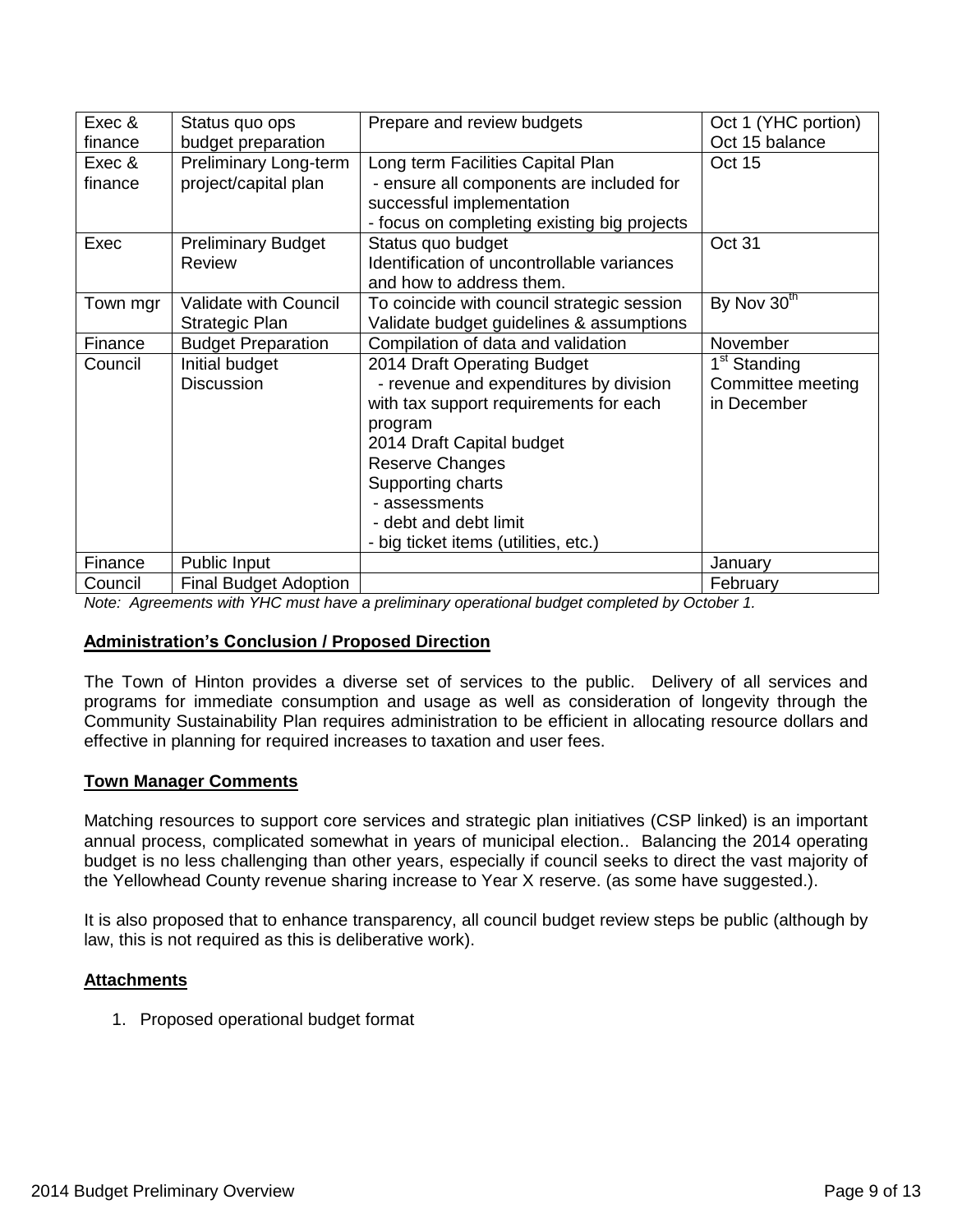| Exec &   | Status quo ops               | Prepare and review budgets                  | Oct 1 (YHC portion)      |
|----------|------------------------------|---------------------------------------------|--------------------------|
| finance  | budget preparation           |                                             | Oct 15 balance           |
| Exec &   | <b>Preliminary Long-term</b> | Long term Facilities Capital Plan           | <b>Oct 15</b>            |
| finance  | project/capital plan         | - ensure all components are included for    |                          |
|          |                              | successful implementation                   |                          |
|          |                              | - focus on completing existing big projects |                          |
| Exec     | <b>Preliminary Budget</b>    | Status quo budget                           | Oct 31                   |
|          | <b>Review</b>                | Identification of uncontrollable variances  |                          |
|          |                              | and how to address them.                    |                          |
| Town mgr | <b>Validate with Council</b> | To coincide with council strategic session  | By Nov 30 <sup>th</sup>  |
|          | Strategic Plan               | Validate budget guidelines & assumptions    |                          |
| Finance  | <b>Budget Preparation</b>    | Compilation of data and validation          | November                 |
| Council  | Initial budget               | 2014 Draft Operating Budget                 | 1 <sup>st</sup> Standing |
|          | <b>Discussion</b>            | - revenue and expenditures by division      | Committee meeting        |
|          |                              | with tax support requirements for each      | in December              |
|          |                              | program                                     |                          |
|          |                              | 2014 Draft Capital budget                   |                          |
|          |                              | Reserve Changes                             |                          |
|          |                              | Supporting charts                           |                          |
|          |                              | - assessments                               |                          |
|          |                              | - debt and debt limit                       |                          |
|          |                              | - big ticket items (utilities, etc.)        |                          |
| Finance  | Public Input                 |                                             | January                  |
| Council  | <b>Final Budget Adoption</b> |                                             | February                 |

*Note: Agreements with YHC must have a preliminary operational budget completed by October 1.*

#### **Administration's Conclusion / Proposed Direction**

The Town of Hinton provides a diverse set of services to the public. Delivery of all services and programs for immediate consumption and usage as well as consideration of longevity through the Community Sustainability Plan requires administration to be efficient in allocating resource dollars and effective in planning for required increases to taxation and user fees.

#### **Town Manager Comments**

Matching resources to support core services and strategic plan initiatives (CSP linked) is an important annual process, complicated somewhat in years of municipal election.. Balancing the 2014 operating budget is no less challenging than other years, especially if council seeks to direct the vast majority of the Yellowhead County revenue sharing increase to Year X reserve. (as some have suggested.).

It is also proposed that to enhance transparency, all council budget review steps be public (although by law, this is not required as this is deliberative work).

#### **Attachments**

1. Proposed operational budget format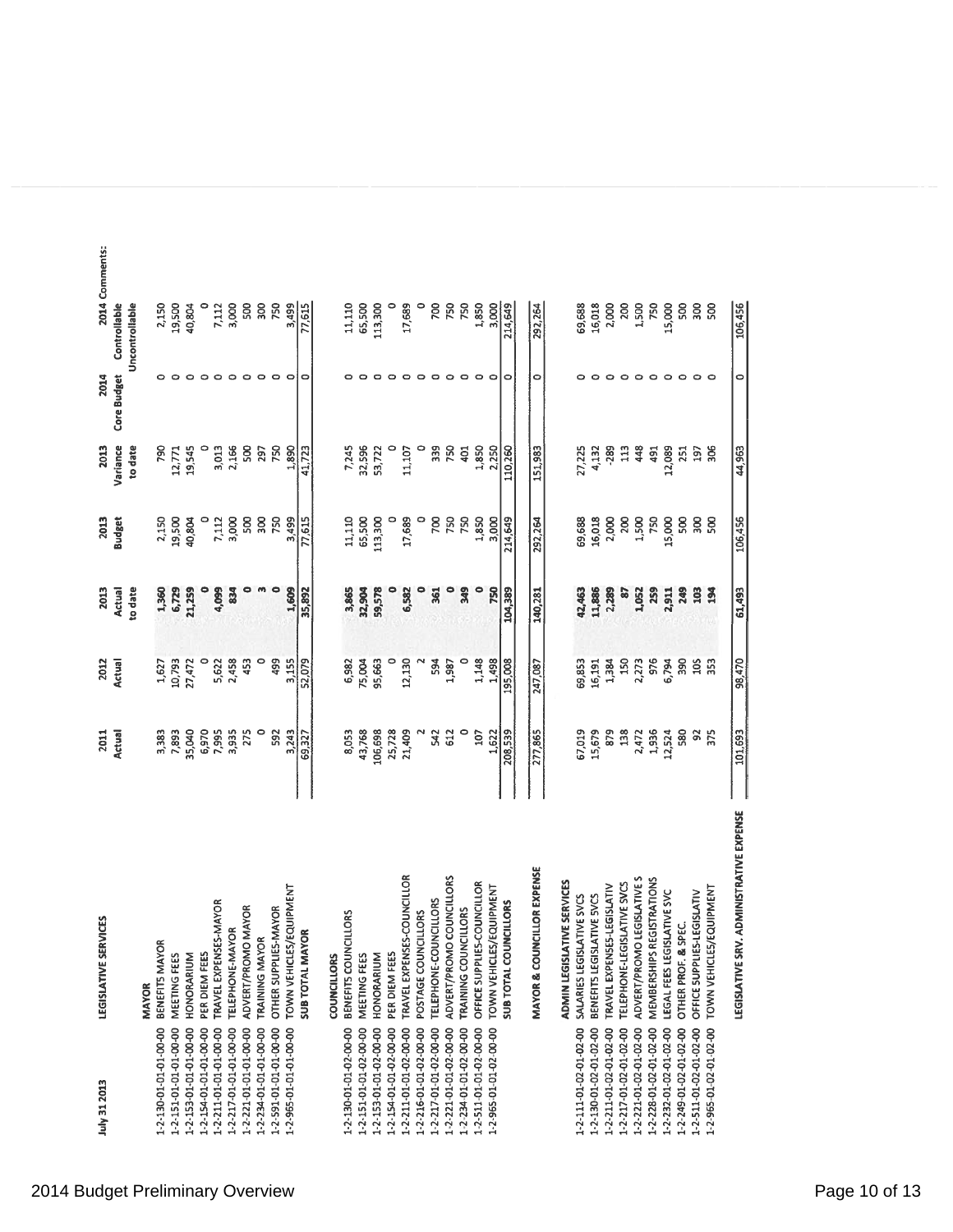| July 31 2013           | LEGISLATIVE SERVICES                    | 2011          | 2012    | 2013           | 2013            | 2013     | 2014        | 2014 Comments: |
|------------------------|-----------------------------------------|---------------|---------|----------------|-----------------|----------|-------------|----------------|
|                        |                                         | <b>Actual</b> | Actual  | Actual         | <b>Budget</b>   | Variance | Core Budget | Controllable   |
|                        | <b>MAYOR</b>                            |               |         | to date        |                 | to date  |             | Uncontrollable |
| 1-2-130-01-01-01-00-00 | BENEFITS MAYOR                          | 3,383         | 1,627   | 1,360          | 2,150           | 790      |             | 2,150          |
| 1-2-151-01-01-01-00-00 | MEETING FEES                            | 7,893         | 10,793  | 6,729          | 19,500          | 12,771   |             | 19,500         |
| 1-2-153-01-01-01-00-00 | HONORARIUM                              | 35,040        | 27,472  | 21,259         | 40,804          | 19,545   |             | 40,804         |
| 1-2-154-01-01-01-00-00 | PER DIEM FEES                           | 6,970         |         |                |                 |          | 0           |                |
| 1-2-211-01-01-01-00-00 | TRAVEL EXPENSES-MAYOR                   | 7,995         | 5,622   | 4,099          | 7,112           | 3,013    | $\circ$     | 7,112          |
| 1-2-217-01-01-01-00-00 | TELEPHONE-MAYOR                         | 3,935         | 2,458   | $\frac{3}{2}$  | 3,000           | 2,166    | $\circ$     | 3,000          |
| 1-2-221-01-01-01-00-00 | ADVERT/PROMO MAYOR                      | 275           | 453     | ۰              | 500             | 500      | ۰           | 500            |
| 1-2-234-01-01-01-00-00 | <b>TRAINING MAYOR</b>                   |               | 0       |                | 300             | 297      | $\circ$     | 300            |
| 1-2-591-01-01-01-00-00 | OTHER SUPPLIES-MAYOR                    | 592           | 499     | ۰              | 750             | 750      | $\circ$     | 750            |
| 1-2-965-01-01-01-00-00 | TOWN VEHICLES/EQUIPMENT                 | 3,243         | 3,155   | 1,609          | 3,499           | 1,890    |             | 3,499          |
|                        | ¢<br><b>SUB TOTAL MAYO</b>              | 69,327        | 52,079  | 35,892         | 77,615          | 41,723   |             | 77,615         |
|                        | <b>COUNCILLORS</b>                      |               |         |                |                 |          |             |                |
| 1-2-130-01-01-02-00-00 | LLORS<br>BENEFITS COUNCI                | 8,053         | 6,982   | 3,865          | 11,110          | 7,245    |             | 11,110         |
| 1-2-151-01-01-02-00-00 | MEETING FEES                            | 43,768        | 75,004  | 32,904         | 65,500          | 32,596   |             | 65,500         |
| 1-2-153-01-01-02-00-00 | HONORARIUM                              | 106,698       | 95,663  | 59,578         | 113,300         | 53,722   |             | 113,300        |
| 1-2-154-01-01-02-00-00 | PER DIEM FEES                           | 25,728        |         |                |                 |          |             | 0              |
| 1-2-211-01-01-02-00-00 | TRAVEL EXPENSES-COUNCILLOR              | 21,409        | 12,130  | 6,582          | 17,689          | 11,107   |             | 17,689         |
| 1-2-216-01-01-02-00-00 | POSTAGE COUNCILLORS                     |               |         | $\bullet$      | $\circ$         |          | $\circ$     | 0              |
| 1-2-217-01-01-02-00-00 | TELEPHONE-COUNCILLORS                   | 542           | 594     | 361            | 700             | 339      | ۰           | 200            |
| 1-2-221-01-01-02-00-00 | ADVERT/PROMO COUNCILLORS                | 612           | 1,987   | $\bullet$      | 750             | 750      | $\circ$     | 750            |
| 1-2-234-01-01-02-00-00 | TRAINING COUNCILLORS                    |               |         | Ste            | 750             | 401      | $\circ$     | 750            |
| 1-2-511-01-01-02-00-00 | OFFICE SUPPLIES-COUNCILLOR              | 107           | 1,148   | $\bullet$      | 1,850           | 1,850    | ۰           | 1,850          |
| 1-2-965-01-01-02-00-00 | TOWN VEHICLES/EQUIPMENT                 | 1.622         | 1,498   | 750            | 3,000           | 2,250    | ۰           | 3,000          |
|                        | <b>SUB TOTAL COUNCILLORS</b>            | 208,539       | 195,008 | 104,389        | 214,649         | 110,260  | 0           | 214,649        |
|                        | MAYOR & COUNCILLOR EXPENSE              | 277,865       | 247,087 | 140,281        | 292,264         | 151,983  | 0           | 292,264        |
|                        | ADMIN LEGISLATIVE SERVICES              |               |         |                |                 |          |             |                |
| 1-2-111-01-02-01-02-00 | SALARIES LEGISLATIVE SVCS               | 67,019        | 69,853  | 42,463         | 69,688          | 27,225   |             | 69,688         |
| 1-2-130-01-02-01-02-00 | BENEFITS LEGISLATIVE SVCS               | 15,679        | 16,191  | 11,886         | 16,018          | 4,132    | ۰           | 16,018         |
| 1-2-211-01-02-01-02-00 | TRAVEL EXPENSES-LEGISLATIV              | 879           | 1,384   | 2,289          | 2,000           | $-289$   | $\circ$     | 2,000          |
| 1-2-217-01-02-01-02-00 | TELEPHONE-LEGISLATIVE SVCS              | 138           | 150     | $\overline{8}$ | 200             | 113      | $\circ$     | 200            |
| 1-2-221-01-02-01-02-00 | ADVERT/PROMO LEGISLATIVE S              | 2,472         | 2,273   | 1,052          | 1,500           | 448      | $\circ$     | 1,500          |
| 1-2-228-01-02-01-02-00 | MEMBERSHIPS REGISTRATIONS               | 1,936         | 976     | 259            | 750             | 491      | $\circ$     | 750            |
| 1-2-232-01-02-01-02-00 | LEGAL FEES LEGISLATIVE SVC              | 12,524        | 6,794   | 2,911          | 15,000          | 12,089   | ۰           | 15,000         |
| 1-2-249-01-02-01-02-00 | OTHER PROF. & SPEC.                     | 580           | 390     | 249            | 500             | 251      | $\circ$     | 500            |
| 1-2-511-01-02-01-02-00 | OFFICE SUPPLIES-LEGISLATIV              | 95            | 105     | 103            | 300             | 197      | $\circ$     | 300            |
| 1-2-965-01-02-01-02-00 | TOWN VEHICLES/EQUIPMENT                 | 375           | 353     | 194            | S <sub>00</sub> | 306      |             | 500            |
|                        | LEGISLATIVE SRV. ADMINISTRATIVE EXPENSE | 101,693       | 98,470  | 61,493         | 106,456         | 44,963   | 0           | 106,456        |

2014 Budget Preliminary Overview **Page 10 of 13** and 2014 Budget Preliminary Overview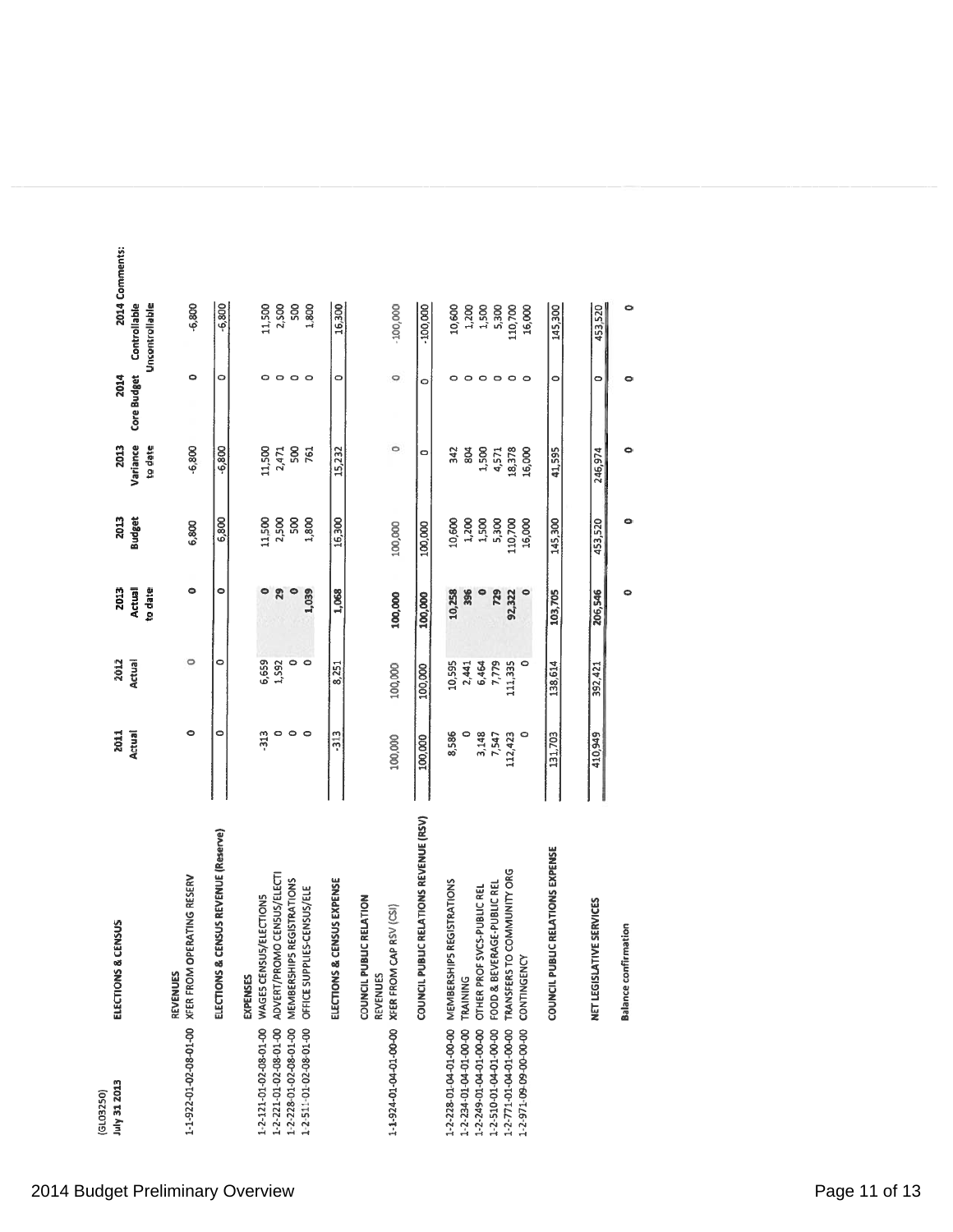| July 31 2013<br>(GL03250)              | ELECTIONS & CENSUS                                            | 2011<br>Actual | 2012<br>Actual | 2013<br><b>Actual</b> | 2013<br><b>Budget</b> | Variance<br>2013 | 2014<br>Core Budget | 2014 Comments:<br><b>Controllable</b> |
|----------------------------------------|---------------------------------------------------------------|----------------|----------------|-----------------------|-----------------------|------------------|---------------------|---------------------------------------|
|                                        |                                                               |                |                | to date               |                       | to date          |                     | Uncontrollable                        |
|                                        | 1-1-922-01-02-08-01-00 XFER FROM OPERATING RESERV<br>REVENUES | 0              | $\circ$        | $\bullet$             | 6,800                 | $-6,800$         | ۰                   | $-6,800$                              |
|                                        | ELECTIONS & CENSUS REVENUE (Reserve)                          | 0              | 0              | $\bullet$             | 6,800                 | $-6,800$         | 0                   | $-6,800$                              |
| 1-2-121-01-02-08-01-00                 | WAGES CENSUS/ELECTIONS<br><b>EXPENSES</b>                     | 313            | 6,659          | 0                     | 11,500                | 11,500           | o                   | 11,500                                |
| 1-2-221-01-02-08-01-00                 | ADVERT/PROMO CENSUS/ELECTI                                    | ۰              | 1,592          | 29                    | 2,500<br>500          | 2,471            | o                   | 2,500                                 |
| 1-2-228-01-02-08-01-00                 | MEMBERSHIPS REGISTRATIONS                                     | $\circ$        | 0              |                       |                       | 500              | $\circ$             | 500                                   |
| 1-2-511-01-02-08-01-00                 | OFFICE SUPPLIES-CENSUS/ELE                                    | $\circ$        | ۰              | 1,039                 | 1,800                 | 761              | $\circ$             | 1,800                                 |
|                                        | ELECTIONS & CENSUS EXPENSE                                    | $-313$         | 8,251          | 1,068                 | 16,300                | 15,232           | 0                   | 16,300                                |
| 1-1-924-01-04-01-00-00 XFER FROM CAP R | COUNCIL PUBLIC RELATION<br>(SV(SI))<br>REVENUES               | 100,000        | 100,000        | 100,000               | 100,000               | $\circ$          | $\circ$             | $-100,000$                            |
|                                        | COUNCIL PUBLIC RELATIONS REVENUE (RSV)                        | 100,000        | 100,000        | 100,000               | 100,000               | 0                | ۰                   | $-100,000$                            |
| 1-2-228-01-04-01-00-00                 | MEMBERSHIPS REGISTRATIONS                                     | 8,586          | 10,595         | 10,258                | 10,600                | 342              | ۰                   | 10,600                                |
| 1-2-234-01-04-01-00-00                 | TRAINING                                                      |                | 2,441          | 396                   | 1,200                 | 804              | $\circ$             |                                       |
| 1-2-249-01-04-01-00-00                 | OTHER PROF SVCS-PUBLIC REL                                    | 3,148          | 6,464          |                       | 1,500                 | 1,500            | $\circ$             | 1,200<br>1,500                        |
| 1-2-510-01-04-01-00-00                 | FOOD & BEVERAGE-PUBLIC REL                                    | 7,547          | 7,779          | 729                   | 5,300                 | 4,571            | $\circ$             | 5,300                                 |
| 1-2-771-01-04-01-00-00                 | TRANSFERS TO COMMUNITY ORG                                    | 112,423        | 111,335        | 92,322                | 110,700               | 18,378           | $\circ$             | 110,700                               |
| 1-2-971-09-09-00-00-00                 | CONTINGENCY                                                   |                | 0              |                       | 16,000                | 16,000           | $\circ$             | 16,000                                |
|                                        | COUNCIL PUBLIC RELATIONS EXPENSE                              | 131,703        | 138,614        | 103,705               | 145,300               | 41,595           | 0                   | 145,300                               |
|                                        | NET LEGISLATIVE SERVICES                                      | 410,949        | 392,421        | 206,546               | 453,520               | 246,974          | $\circ$             | 453,520                               |
|                                        | <b>Balance confirmation</b>                                   |                |                | ۰                     | ۰                     | ۰                | $\bullet$           | ۰                                     |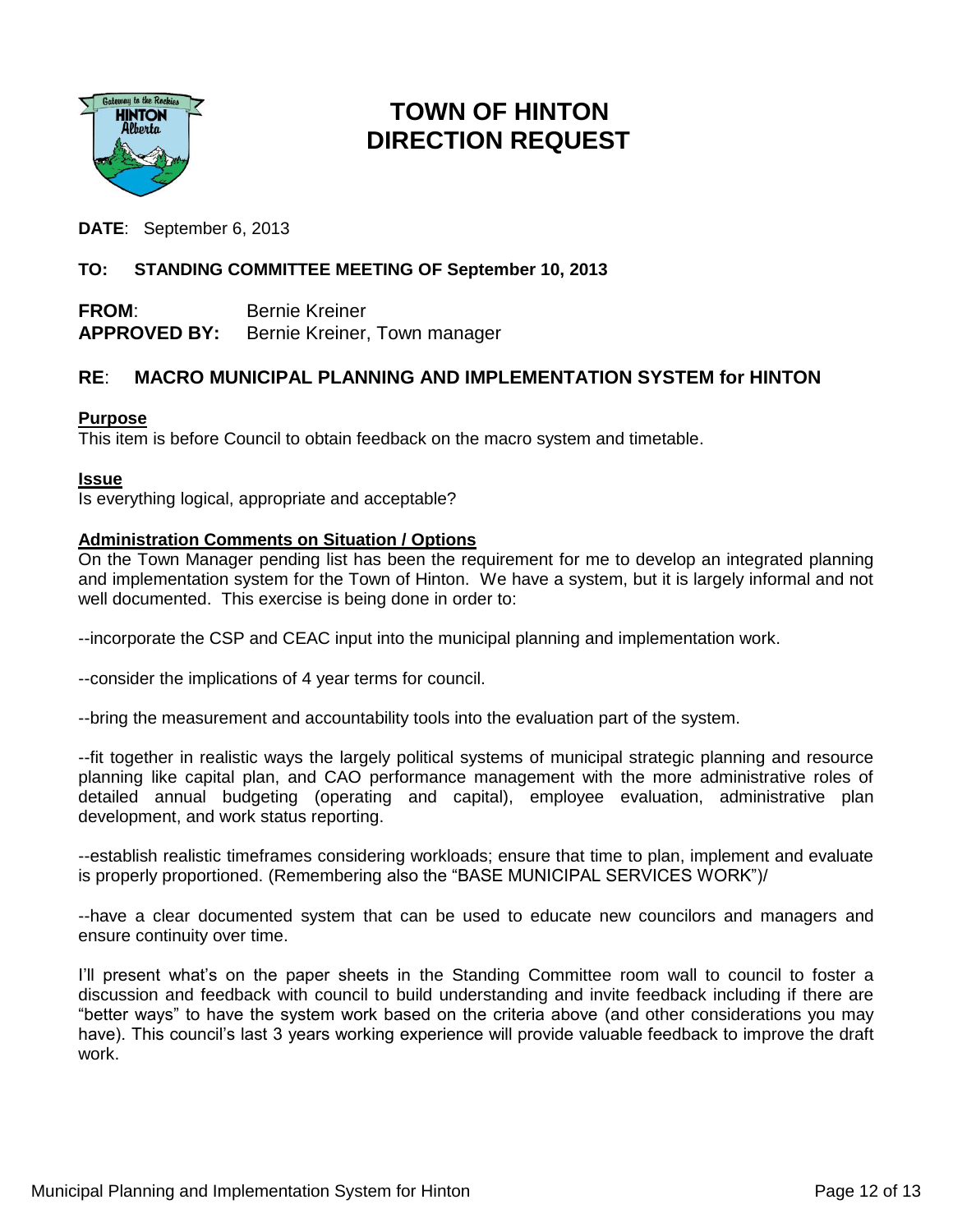

## **TOWN OF HINTON DIRECTION REQUEST**

**DATE**: September 6, 2013

#### **TO: STANDING COMMITTEE MEETING OF September 10, 2013**

**FROM**: Bernie Kreiner **APPROVED BY:** Bernie Kreiner, Town manager

#### **RE**: **MACRO MUNICIPAL PLANNING AND IMPLEMENTATION SYSTEM for HINTON**

#### **Purpose**

This item is before Council to obtain feedback on the macro system and timetable.

#### **Issue**

Is everything logical, appropriate and acceptable?

#### **Administration Comments on Situation / Options**

On the Town Manager pending list has been the requirement for me to develop an integrated planning and implementation system for the Town of Hinton. We have a system, but it is largely informal and not well documented. This exercise is being done in order to:

--incorporate the CSP and CEAC input into the municipal planning and implementation work.

--consider the implications of 4 year terms for council.

--bring the measurement and accountability tools into the evaluation part of the system.

--fit together in realistic ways the largely political systems of municipal strategic planning and resource planning like capital plan, and CAO performance management with the more administrative roles of detailed annual budgeting (operating and capital), employee evaluation, administrative plan development, and work status reporting.

--establish realistic timeframes considering workloads; ensure that time to plan, implement and evaluate is properly proportioned. (Remembering also the "BASE MUNICIPAL SERVICES WORK")/

--have a clear documented system that can be used to educate new councilors and managers and ensure continuity over time.

I'll present what's on the paper sheets in the Standing Committee room wall to council to foster a discussion and feedback with council to build understanding and invite feedback including if there are "better ways" to have the system work based on the criteria above (and other considerations you may have). This council's last 3 years working experience will provide valuable feedback to improve the draft work.